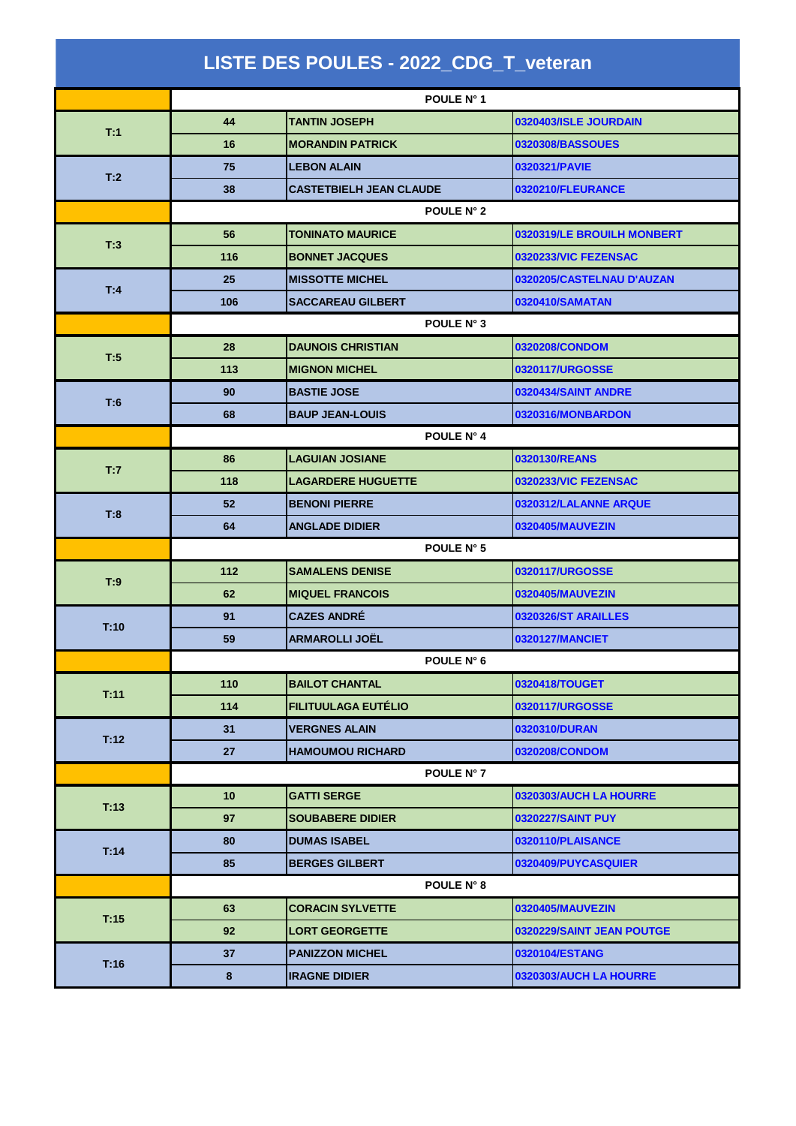| LISTE DES POULES - 2022_CDG_T_veteran |            |                                |                            |  |  |
|---------------------------------------|------------|--------------------------------|----------------------------|--|--|
|                                       |            | POULE N° 1                     |                            |  |  |
| T:1                                   | 44         | <b>TANTIN JOSEPH</b>           | 0320403/ISLE JOURDAIN      |  |  |
|                                       | 16         | <b>MORANDIN PATRICK</b>        | 0320308/BASSOUES           |  |  |
|                                       | 75         | <b>LEBON ALAIN</b>             | 0320321/PAVIE              |  |  |
| T:2                                   | 38         | <b>CASTETBIELH JEAN CLAUDE</b> | 0320210/FLEURANCE          |  |  |
|                                       | POULE N° 2 |                                |                            |  |  |
|                                       | 56         | <b>TONINATO MAURICE</b>        | 0320319/LE BROUILH MONBERT |  |  |
| T:3                                   | 116        | <b>BONNET JACQUES</b>          | 0320233/VIC FEZENSAC       |  |  |
| T:4                                   | 25         | <b>MISSOTTE MICHEL</b>         | 0320205/CASTELNAU D'AUZAN  |  |  |
|                                       | 106        | <b>SACCAREAU GILBERT</b>       | 0320410/SAMATAN            |  |  |
|                                       |            | POULE N° 3                     |                            |  |  |
| T:5                                   | 28         | <b>DAUNOIS CHRISTIAN</b>       | 0320208/CONDOM             |  |  |
|                                       | 113        | <b>MIGNON MICHEL</b>           | 0320117/URGOSSE            |  |  |
| T:6                                   | 90         | <b>BASTIE JOSE</b>             | 0320434/SAINT ANDRE        |  |  |
|                                       | 68         | <b>BAUP JEAN-LOUIS</b>         | 0320316/MONBARDON          |  |  |
|                                       | POULE N° 4 |                                |                            |  |  |
| T:7                                   | 86         | <b>LAGUIAN JOSIANE</b>         | 0320130/REANS              |  |  |
|                                       | 118        | <b>LAGARDERE HUGUETTE</b>      | 0320233/VIC FEZENSAC       |  |  |
| T:8                                   | 52         | <b>BENONI PIERRE</b>           | 0320312/LALANNE ARQUE      |  |  |
|                                       | 64         | <b>ANGLADE DIDIER</b>          | 0320405/MAUVEZIN           |  |  |
|                                       | POULE N° 5 |                                |                            |  |  |
| T:9                                   | 112        | <b>SAMALENS DENISE</b>         | 0320117/URGOSSE            |  |  |
|                                       | 62         | <b>MIQUEL FRANCOIS</b>         | 0320405/MAUVEZIN           |  |  |
| T:10                                  | 91         | <b>CAZES ANDRÉ</b>             | 0320326/ST ARAILLES        |  |  |
|                                       | 59         | <b>ARMAROLLI JOËL</b>          | 0320127/MANCIET            |  |  |
|                                       |            | POULE N° 6                     |                            |  |  |
| T:11                                  | 110        | <b>BAILOT CHANTAL</b>          | 0320418/TOUGET             |  |  |
|                                       | 114        | <b>FILITUULAGA EUTÉLIO</b>     | 0320117/URGOSSE            |  |  |
| T:12                                  | 31         | <b>VERGNES ALAIN</b>           | 0320310/DURAN              |  |  |
|                                       | 27         | <b>HAMOUMOU RICHARD</b>        | 0320208/CONDOM             |  |  |
|                                       |            | POULE N° 7                     |                            |  |  |
| T:13                                  | 10         | <b>GATTI SERGE</b>             | 0320303/AUCH LA HOURRE     |  |  |
|                                       | 97         | <b>SOUBABERE DIDIER</b>        | 0320227/SAINT PUY          |  |  |
| T:14                                  | 80         | <b>DUMAS ISABEL</b>            | 0320110/PLAISANCE          |  |  |
|                                       | 85         | <b>BERGES GILBERT</b>          | 0320409/PUYCASQUIER        |  |  |
|                                       |            | POULE N° 8                     |                            |  |  |
| T:15                                  | 63         | <b>CORACIN SYLVETTE</b>        | 0320405/MAUVEZIN           |  |  |
|                                       | 92         | <b>LORT GEORGETTE</b>          | 0320229/SAINT JEAN POUTGE  |  |  |
| T:16                                  | 37         | <b>PANIZZON MICHEL</b>         | 0320104/ESTANG             |  |  |
|                                       | 8          | <b>IRAGNE DIDIER</b>           | 0320303/AUCH LA HOURRE     |  |  |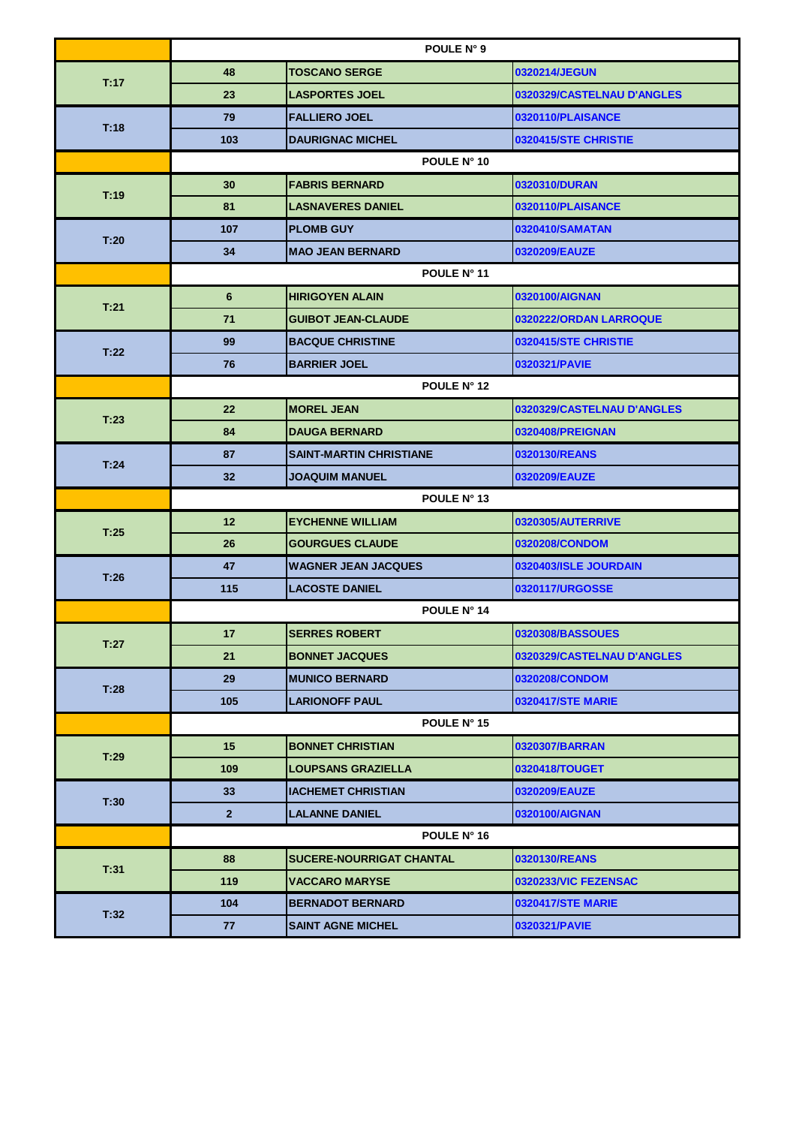|      |                 | POULE N° 9                      |                            |  |  |  |
|------|-----------------|---------------------------------|----------------------------|--|--|--|
| T:17 | 48              | <b>TOSCANO SERGE</b>            | 0320214/JEGUN              |  |  |  |
|      | 23              | <b>LASPORTES JOEL</b>           | 0320329/CASTELNAU D'ANGLES |  |  |  |
| T:18 | 79              | <b>FALLIERO JOEL</b>            | 0320110/PLAISANCE          |  |  |  |
|      | 103             | <b>DAURIGNAC MICHEL</b>         | 0320415/STE CHRISTIE       |  |  |  |
|      |                 | POULE N° 10                     |                            |  |  |  |
| T:19 | 30              | <b>FABRIS BERNARD</b>           | 0320310/DURAN              |  |  |  |
|      | 81              | <b>LASNAVERES DANIEL</b>        | 0320110/PLAISANCE          |  |  |  |
|      | 107             | <b>PLOMB GUY</b>                | 0320410/SAMATAN            |  |  |  |
| T:20 | 34              | <b>MAO JEAN BERNARD</b>         | 0320209/EAUZE              |  |  |  |
|      | POULE N° 11     |                                 |                            |  |  |  |
|      | $6\phantom{1}$  | <b>HIRIGOYEN ALAIN</b>          | 0320100/AIGNAN             |  |  |  |
| T.21 | 71              | <b>GUIBOT JEAN-CLAUDE</b>       | 0320222/ORDAN LARROQUE     |  |  |  |
|      | 99              | <b>BACQUE CHRISTINE</b>         | 0320415/STE CHRISTIE       |  |  |  |
| T:22 | 76              | <b>BARRIER JOEL</b>             | 0320321/PAVIE              |  |  |  |
|      | POULE N° 12     |                                 |                            |  |  |  |
|      | 22              | <b>MOREL JEAN</b>               | 0320329/CASTELNAU D'ANGLES |  |  |  |
| T:23 | 84              | <b>DAUGA BERNARD</b>            | 0320408/PREIGNAN           |  |  |  |
|      | 87              | <b>SAINT-MARTIN CHRISTIANE</b>  | 0320130/REANS              |  |  |  |
| T.24 | 32              | <b>JOAQUIM MANUEL</b>           | 0320209/EAUZE              |  |  |  |
|      | POULE N° 13     |                                 |                            |  |  |  |
| T.25 | 12              | <b>EYCHENNE WILLIAM</b>         | 0320305/AUTERRIVE          |  |  |  |
|      | 26              | <b>GOURGUES CLAUDE</b>          | 0320208/CONDOM             |  |  |  |
| T:26 | 47              | <b>WAGNER JEAN JACQUES</b>      | 0320403/ISLE JOURDAIN      |  |  |  |
|      | 115             | <b>LACOSTE DANIEL</b>           | 0320117/URGOSSE            |  |  |  |
|      | POULE N° 14     |                                 |                            |  |  |  |
| T:27 | 17              | <b>SERRES ROBERT</b>            | 0320308/BASSOUES           |  |  |  |
|      | 21              | <b>BONNET JACQUES</b>           | 0320329/CASTELNAU D'ANGLES |  |  |  |
|      | 29              | <b>MUNICO BERNARD</b>           | 0320208/CONDOM             |  |  |  |
| T:28 | 105             | <b>LARIONOFF PAUL</b>           | <b>0320417/STE MARIE</b>   |  |  |  |
|      | POULE N° 15     |                                 |                            |  |  |  |
| T:29 | 15              | <b>BONNET CHRISTIAN</b>         | 0320307/BARRAN             |  |  |  |
|      | 109             | <b>LOUPSANS GRAZIELLA</b>       | 0320418/TOUGET             |  |  |  |
|      | 33 <sup>°</sup> | <b>IACHEMET CHRISTIAN</b>       | 0320209/EAUZE              |  |  |  |
| T:30 | $\mathbf{2}$    | <b>LALANNE DANIEL</b>           | 0320100/AIGNAN             |  |  |  |
|      | POULE N° 16     |                                 |                            |  |  |  |
| T:31 | 88              | <b>SUCERE-NOURRIGAT CHANTAL</b> | 0320130/REANS              |  |  |  |
|      | 119             | <b>VACCARO MARYSE</b>           | 0320233/VIC FEZENSAC       |  |  |  |
| T:32 | 104             | <b>BERNADOT BERNARD</b>         | <b>0320417/STE MARIE</b>   |  |  |  |
|      | 77              | <b>SAINT AGNE MICHEL</b>        | 0320321/PAVIE              |  |  |  |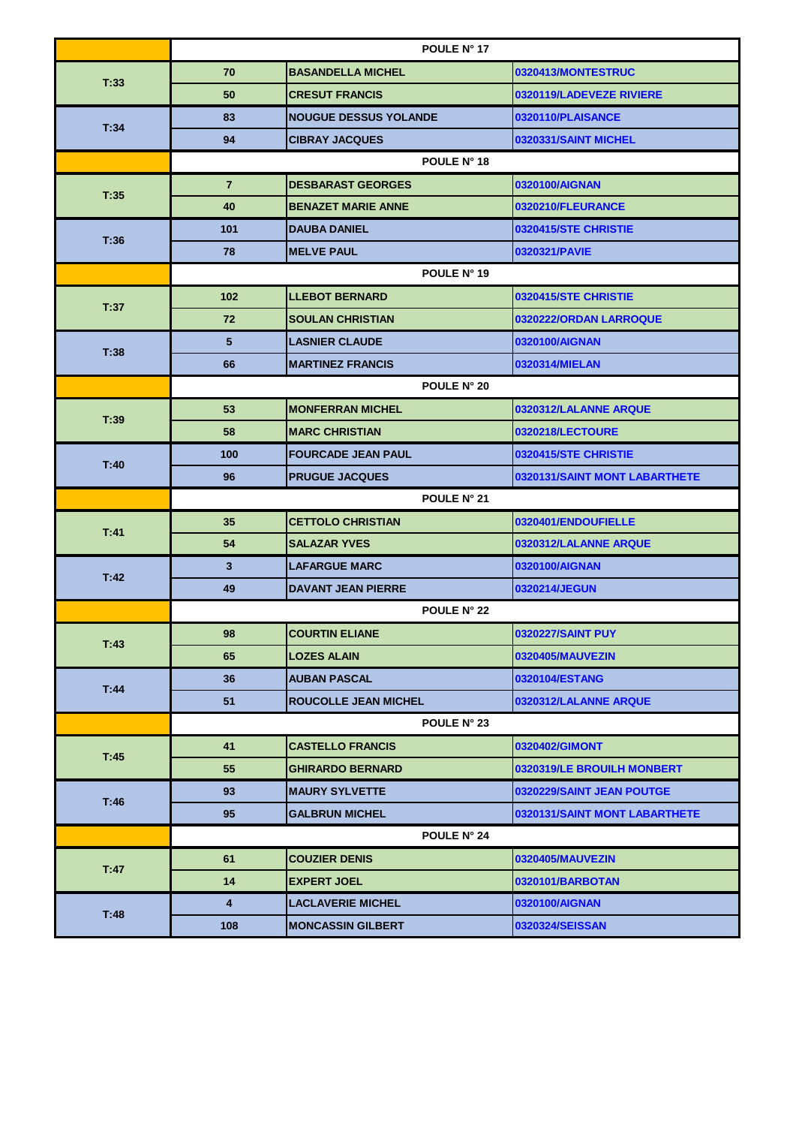|      |                | POULE N° 17                  |                               |  |  |  |
|------|----------------|------------------------------|-------------------------------|--|--|--|
| T:33 | 70             | <b>BASANDELLA MICHEL</b>     | 0320413/MONTESTRUC            |  |  |  |
|      | 50             | <b>CRESUT FRANCIS</b>        | 0320119/LADEVEZE RIVIERE      |  |  |  |
| T:34 | 83             | <b>NOUGUE DESSUS YOLANDE</b> | 0320110/PLAISANCE             |  |  |  |
|      | 94             | <b>CIBRAY JACQUES</b>        | 0320331/SAINT MICHEL          |  |  |  |
|      |                | POULE N° 18                  |                               |  |  |  |
| T:35 | $\overline{7}$ | <b>DESBARAST GEORGES</b>     | 0320100/AIGNAN                |  |  |  |
|      | 40             | <b>BENAZET MARIE ANNE</b>    | 0320210/FLEURANCE             |  |  |  |
|      | 101            | <b>DAUBA DANIEL</b>          | 0320415/STE CHRISTIE          |  |  |  |
| T:36 | 78             | <b>MELVE PAUL</b>            | 0320321/PAVIE                 |  |  |  |
|      | POULE N° 19    |                              |                               |  |  |  |
|      | 102            | <b>LLEBOT BERNARD</b>        | 0320415/STE CHRISTIE          |  |  |  |
| T:37 | 72             | <b>SOULAN CHRISTIAN</b>      | 0320222/ORDAN LARROQUE        |  |  |  |
|      | 5              | <b>LASNIER CLAUDE</b>        | 0320100/AIGNAN                |  |  |  |
| T:38 | 66             | <b>MARTINEZ FRANCIS</b>      | 0320314/MIELAN                |  |  |  |
|      | POULE N° 20    |                              |                               |  |  |  |
| T:39 | 53             | <b>MONFERRAN MICHEL</b>      | 0320312/LALANNE ARQUE         |  |  |  |
|      | 58             | <b>MARC CHRISTIAN</b>        | 0320218/LECTOURE              |  |  |  |
|      | 100            | <b>FOURCADE JEAN PAUL</b>    | 0320415/STE CHRISTIE          |  |  |  |
| T:40 | 96             | <b>PRUGUE JACQUES</b>        | 0320131/SAINT MONT LABARTHETE |  |  |  |
|      | POULE N° 21    |                              |                               |  |  |  |
| T 41 | 35             | <b>CETTOLO CHRISTIAN</b>     | 0320401/ENDOUFIELLE           |  |  |  |
|      | 54             | <b>SALAZAR YVES</b>          | 0320312/LALANNE ARQUE         |  |  |  |
| T:42 | 3              | <b>LAFARGUE MARC</b>         | 0320100/AIGNAN                |  |  |  |
|      | 49             | <b>DAVANT JEAN PIERRE</b>    | 0320214/JEGUN                 |  |  |  |
|      |                | POULE N° 22                  |                               |  |  |  |
| T:43 | 98             | <b>COURTIN ELIANE</b>        | 0320227/SAINT PUY             |  |  |  |
|      | 65             | <b>LOZES ALAIN</b>           | 0320405/MAUVEZIN              |  |  |  |
| T:44 | 36             | <b>AUBAN PASCAL</b>          | 0320104/ESTANG                |  |  |  |
|      | 51             | <b>ROUCOLLE JEAN MICHEL</b>  | 0320312/LALANNE ARQUE         |  |  |  |
|      | POULE N° 23    |                              |                               |  |  |  |
| T:45 | 41             | <b>CASTELLO FRANCIS</b>      | 0320402/GIMONT                |  |  |  |
|      | 55             | <b>GHIRARDO BERNARD</b>      | 0320319/LE BROUILH MONBERT    |  |  |  |
| T:46 | 93             | <b>MAURY SYLVETTE</b>        | 0320229/SAINT JEAN POUTGE     |  |  |  |
|      | 95             | <b>GALBRUN MICHEL</b>        | 0320131/SAINT MONT LABARTHETE |  |  |  |
|      | POULE N° 24    |                              |                               |  |  |  |
| T:47 | 61             | <b>COUZIER DENIS</b>         | 0320405/MAUVEZIN              |  |  |  |
|      | 14             | <b>EXPERT JOEL</b>           | 0320101/BARBOTAN              |  |  |  |
|      | 4              | <b>LACLAVERIE MICHEL</b>     | 0320100/AIGNAN                |  |  |  |
| T:48 |                |                              |                               |  |  |  |